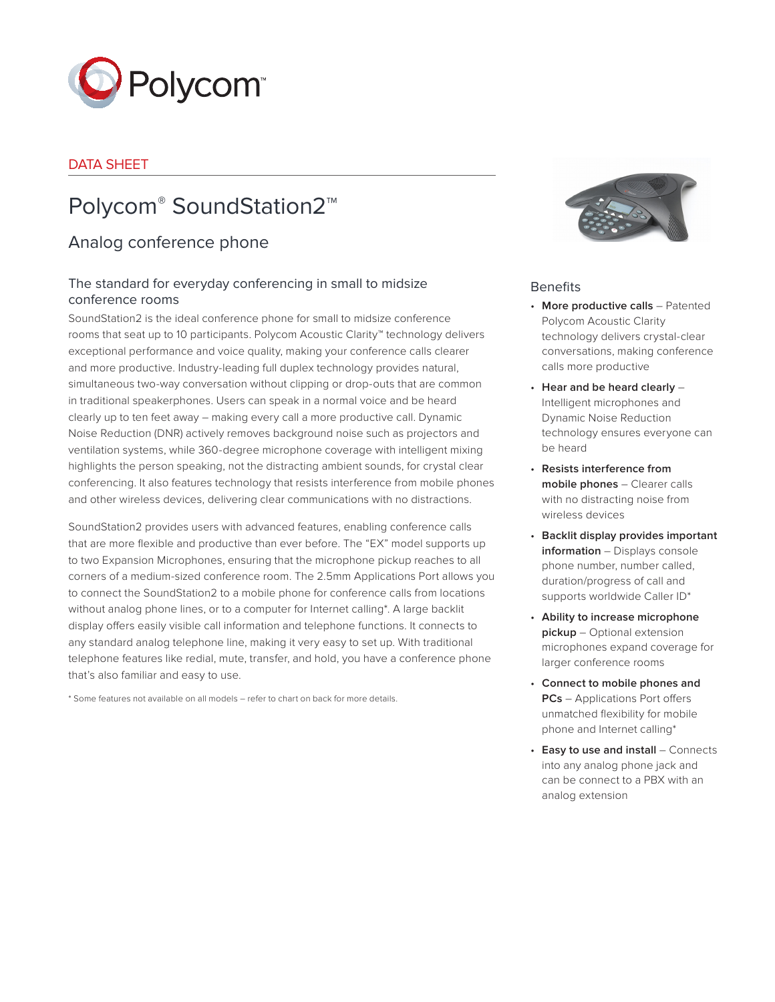

## DATA SHEET

# Polycom® SoundStation2™

## Analog conference phone

## The standard for everyday conferencing in small to midsize conference rooms

SoundStation2 is the ideal conference phone for small to midsize conference rooms that seat up to 10 participants. Polycom Acoustic Clarity™ technology delivers exceptional performance and voice quality, making your conference calls clearer and more productive. Industry-leading full duplex technology provides natural, simultaneous two-way conversation without clipping or drop-outs that are common in traditional speakerphones. Users can speak in a normal voice and be heard clearly up to ten feet away – making every call a more productive call. Dynamic Noise Reduction (DNR) actively removes background noise such as projectors and ventilation systems, while 360-degree microphone coverage with intelligent mixing highlights the person speaking, not the distracting ambient sounds, for crystal clear conferencing. It also features technology that resists interference from mobile phones and other wireless devices, delivering clear communications with no distractions.

SoundStation2 provides users with advanced features, enabling conference calls that are more flexible and productive than ever before. The "EX" model supports up to two Expansion Microphones, ensuring that the microphone pickup reaches to all corners of a medium-sized conference room. The 2.5mm Applications Port allows you to connect the SoundStation2 to a mobile phone for conference calls from locations without analog phone lines, or to a computer for Internet calling\*. A large backlit display offers easily visible call information and telephone functions. It connects to any standard analog telephone line, making it very easy to set up. With traditional telephone features like redial, mute, transfer, and hold, you have a conference phone that's also familiar and easy to use.

\* Some features not available on all models – refer to chart on back for more details.



## Benefits

- **More productive calls** Patented Polycom Acoustic Clarity technology delivers crystal-clear conversations, making conference calls more productive
- **Hear and be heard clearly** Intelligent microphones and Dynamic Noise Reduction technology ensures everyone can be heard
- **Resists interference from mobile phones** – Clearer calls with no distracting noise from wireless devices
- **Backlit display provides important information** – Displays console phone number, number called, duration/progress of call and supports worldwide Caller ID\*
- **Ability to increase microphone pickup** – Optional extension microphones expand coverage for larger conference rooms
- **Connect to mobile phones and PCs** – Applications Port offers unmatched flexibility for mobile phone and Internet calling\*
- **Easy to use and install** Connects into any analog phone jack and can be connect to a PBX with an analog extension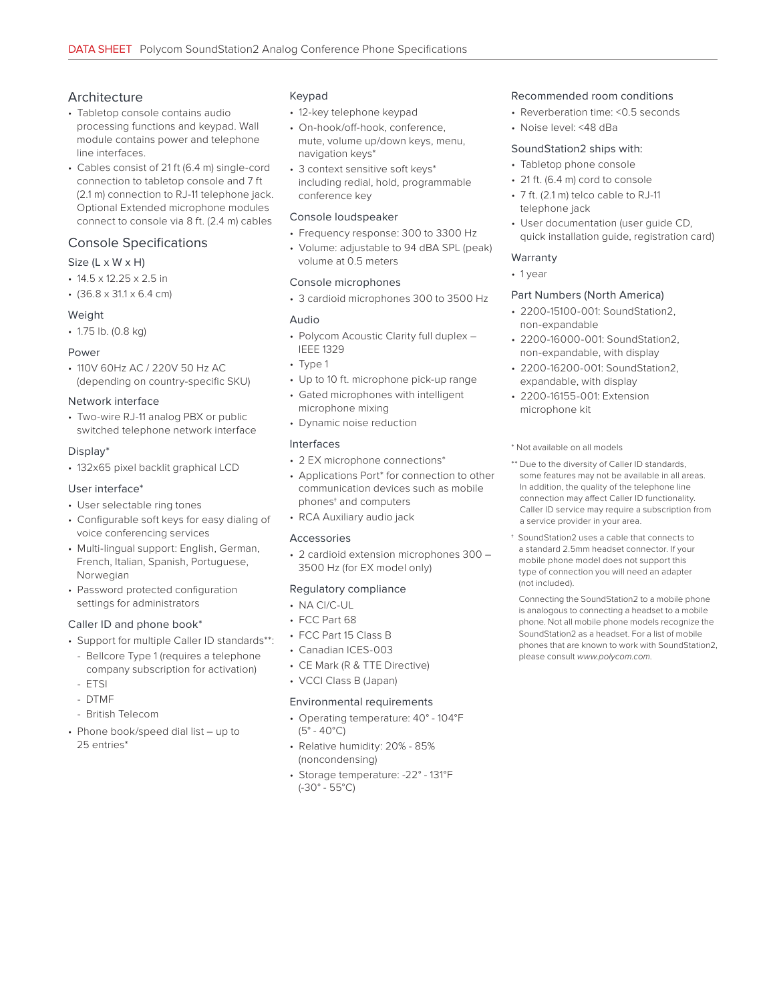## Architecture

- Tabletop console contains audio processing functions and keypad. Wall module contains power and telephone line interfaces.
- Cables consist of 21 ft (6.4 m) single-cord connection to tabletop console and 7 ft (2.1 m) connection to RJ-11 telephone jack. Optional Extended microphone modules connect to console via 8 ft. (2.4 m) cables

### Console Specifications

#### Size (L x W x H)

- 14.5 x 12.25 x 2.5 in
- $\cdot$  (36.8 x 31.1 x 6.4 cm)

#### Weight

• 1.75 lb. (0.8 kg)

#### Power

• 110V 60Hz AC / 220V 50 Hz AC (depending on country-specific SKU)

#### Network interface

• Two-wire RJ-11 analog PBX or public switched telephone network interface

#### Display\*

• 132x65 pixel backlit graphical LCD

#### User interface\*

- User selectable ring tones
- Configurable soft keys for easy dialing of voice conferencing services
- Multi-lingual support: English, German, French, Italian, Spanish, Portuguese, Norwegian
- Password protected configuration settings for administrators

#### Caller ID and phone book\*

- Support for multiple Caller ID standards\*\*:
	- Bellcore Type 1 (requires a telephone company subscription for activation)
	- ETSI
- DTMF
- British Telecom
- Phone book/speed dial list up to 25 entries\*

#### Keypad

- 12-key telephone keypad
- On-hook/off-hook, conference, mute, volume up/down keys, menu, navigation keys\*
- 3 context sensitive soft keys\* including redial, hold, programmable conference key

#### Console loudspeaker

- Frequency response: 300 to 3300 Hz
- Volume: adjustable to 94 dBA SPL (peak) volume at 0.5 meters

#### Console microphones

• 3 cardioid microphones 300 to 3500 Hz

#### Audio

- Polycom Acoustic Clarity full duplex IEEE 1329
- Type 1
- Up to 10 ft. microphone pick-up range
- Gated microphones with intelligent microphone mixing
- Dynamic noise reduction

#### Interfaces

- 2 EX microphone connections\*
- Applications Port\* for connection to other communication devices such as mobile phones† and computers
- RCA Auxiliary audio jack

#### Accessories

• 2 cardioid extension microphones 300 – 3500 Hz (for EX model only)

#### Regulatory compliance

- NA Cl/C-UL
- FCC Part 68
- FCC Part 15 Class B
- Canadian ICES-003
- CE Mark (R & TTE Directive)
- VCCI Class B (Japan)

#### Environmental requirements

- Operating temperature: 40° 104°F (5° - 40°C)
- Relative humidity: 20% 85% (noncondensing)
- Storage temperature: -22° 131°F (-30° - 55°C)

#### Recommended room conditions

- Reverberation time: <0.5 seconds
- Noise level: <48 dBa

#### SoundStation2 ships with:

- Tabletop phone console
- 21 ft. (6.4 m) cord to console
- 7 ft. (2.1 m) telco cable to RJ-11 telephone jack
- User documentation (user guide CD, quick installation guide, registration card)

#### Warranty

• 1 year

#### Part Numbers (North America)

- 2200-15100-001: SoundStation2, non-expandable
- 2200-16000-001: SoundStation2, non-expandable, with display
- 2200-16200-001: SoundStation2, expandable, with display
- 2200-16155-001: Extension microphone kit

#### \* Not available on all models

- \*\* Due to the diversity of Caller ID standards, some features may not be available in all areas. In addition, the quality of the telephone line connection may affect Caller ID functionality. Caller ID service may require a subscription from a service provider in your area.
- † SoundStation2 uses a cable that connects to a standard 2.5mm headset connector. If your mobile phone model does not support this type of connection you will need an adapter (not included).

Connecting the SoundStation2 to a mobile phone is analogous to connecting a headset to a mobile phone. Not all mobile phone models recognize the SoundStation2 as a headset. For a list of mobile phones that are known to work with SoundStation2, please consult *www.polycom.com*.